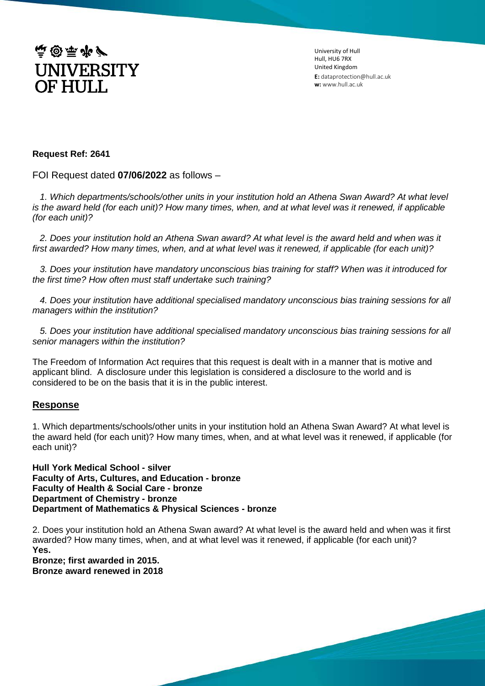

University of Hull Hull, HU6 7RX United Kingdom **E:** dataprotection@hull.ac.uk **w:** www.hull.ac.uk

## **Request Ref: 2641**

FOI Request dated **07/06/2022** as follows –

 *1. Which departments/schools/other units in your institution hold an Athena Swan Award? At what level is the award held (for each unit)? How many times, when, and at what level was it renewed, if applicable (for each unit)?*

 *2. Does your institution hold an Athena Swan award? At what level is the award held and when was it first awarded? How many times, when, and at what level was it renewed, if applicable (for each unit)?*

 *3. Does your institution have mandatory unconscious bias training for staff? When was it introduced for the first time? How often must staff undertake such training?*

 *4. Does your institution have additional specialised mandatory unconscious bias training sessions for all managers within the institution?* 

 *5. Does your institution have additional specialised mandatory unconscious bias training sessions for all senior managers within the institution?*

The Freedom of Information Act requires that this request is dealt with in a manner that is motive and applicant blind. A disclosure under this legislation is considered a disclosure to the world and is considered to be on the basis that it is in the public interest.

## **Response**

1. Which departments/schools/other units in your institution hold an Athena Swan Award? At what level is the award held (for each unit)? How many times, when, and at what level was it renewed, if applicable (for each unit)?

**Hull York Medical School - silver Faculty of Arts, Cultures, and Education - bronze Faculty of Health & Social Care - bronze Department of Chemistry - bronze Department of Mathematics & Physical Sciences - bronze**

2. Does your institution hold an Athena Swan award? At what level is the award held and when was it first awarded? How many times, when, and at what level was it renewed, if applicable (for each unit)? **Yes.** 

**Bronze; first awarded in 2015. Bronze award renewed in 2018**